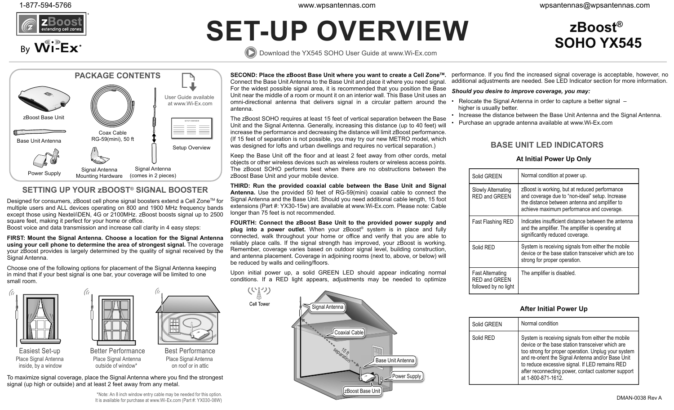

By Wi-Ex<sup>®</sup>

**SOHO YX545**

**®**

# **SET-UP OVERVIEW zBoost**

Download the YX545 SOHO User Guide at www.Wi-Ex.com

**PACKAGE CONTENTS**zBoost Base UnitBase Unit AntennaCoax CableRG-59(mini), 50 ft Power Supply Signal Antenna Signal Antenna<br>
Mounting Hardware (comes in 2 pieces) User Guide available at www.Wi-Ex.comSetup Overview

## **SETTING UP YOUR zBOOST® SIGNAL BOOSTER**

Designed for consumers, zBoost cell phone signal boosters extend a Cell Zone™ for multiple users and ALL devices operating on 800 and 1900 MHz frequency bands except those using Nextel/iDEN, 4G or 2100MHz. zBoost boosts signal up to 2500 square feet, making it perfect for your home or office.

Boost voice and data transmission and increase call clarity in 4 easy steps:

**FIRST: Mount the Signal Antenna. Choose a location for the Signal Antenna using your cell phone to determine the area of strongest signal.** The coverage your zBoost provides is largely determined by the quality of signal received by the Signal Antenna.

Choose one of the following options for placement of the Signal Antenna keeping in mind that if your best signal is one bar, your coverage will be limited to one small room.



To maximize signal coverage, place the Signal Antenna where you find the strongest signal (up high or outside) and at least 2 feet away from any metal.

**SECOND: Place the zBoost Base Unit where you want to create a Cell ZoneTM.**  Connect the Base Unit Antenna to the Base Unit and place it where you need signal. For the widest possible signal area, it is recommended that you position the Base Unit near the middle of a room or mount it on an interior wall. This Base Unit uses an omni-directional antenna that delivers signal in a circular pattern around the antenna.

The zBoost SOHO requires at least 15 feet of vertical separation between the Base  $\equiv$   $\Box$  The Eboot Sorio Toquilos at Radit To Rot of Verkidal opperation between the base  $\Box$  Purchase an upgrade antenna available at www.Wi-Ex.com Unit and the Signal Antenna. Generally, increasing this distance (up t increase the performance and decreasing the distance will limit zBoost performance. (If 15 feet of separation is not possible, you may try our new METRO model, which was designed for lofts and urban dwellings and requires no vertical separation.)

> Keep the Base Unit off the floor and at least 2 feet away from other cords, metal objects or other wireless devices such as wireless routers or wireless access points. The zBoost SOHO performs best when there are no obstructions between the zBoost Base Unit and your mobile device.

> **THIRD: Run the provided coaxial cable between the Base Unit and Signal Antenna.** Use the provided 50 feet of RG-59(mini) coaxial cable to connect the Signal Antenna and the Base Unit. Should you need additional cable length, 15 foot extensions (Part #: YX30-15w) are available at www.Wi-Ex.com. Please note: Cable longer than 75 feet is not recommended.

> **FOURTH: Connect the zBoost Base Unit to the provided power supply and plug into a power outlet.** When your zBoost® system is in place and fully connected, walk throughout your home or office and verify that you are able to reliably place calls. If the signal strength has improved, your zBoost is working. Remember, coverage varies based on outdoor signal level, building construction, and antenna placement. Coverage in adjoining rooms (next to, above, or below) will be reduced by walls and ceiling/floors.

> Upon initial power up, a solid GREEN LED should appear indicating normal conditions. If a RED light appears, adjustments may be needed to optimize

Cell Tower



performance. If you find the increased signal coverage is acceptable, however, no additional adjustments are needed. See LED Indicator section for more information.

## *Should you desire to improve coverage, you may:*

- Relocate the Signal Antenna in order to capture a better signal higher is usually better.
- Increase the distance between the Base Unit Antenna and the Signal Antenna.
- 

## **BASE UNIT LED INDICATORS**

## **At Initial Power Up Only**

|  | Solid GREEN                                                      | Normal condition at power up.                                                                                                                                                                  |
|--|------------------------------------------------------------------|------------------------------------------------------------------------------------------------------------------------------------------------------------------------------------------------|
|  | Slowly Alternating<br>RFD and GRFFN                              | zBoost is working, but at reduced performance<br>and coverage due to "non-ideal" setup. Increase<br>the distance between antenna and amplifier to<br>achieve maximum performance and coverage. |
|  | Fast Flashing RED                                                | Indicates insufficient distance between the antenna<br>and the amplifier. The amplifier is operating at<br>significantly reduced coverage.                                                     |
|  | Solid RED                                                        | System is receiving signals from either the mobile<br>device or the base station transceiver which are too<br>strong for proper operation.                                                     |
|  | Fast Alternating<br><b>RED and GREEN</b><br>followed by no light | The amplifier is disabled.                                                                                                                                                                     |

## **After Initial Power Up**

| Solid GREEN | Normal condition                                                                                                                                                                                                                                                                                                                                 |
|-------------|--------------------------------------------------------------------------------------------------------------------------------------------------------------------------------------------------------------------------------------------------------------------------------------------------------------------------------------------------|
| Solid RED   | System is receiving signals from either the mobile<br>device or the base station transceiver which are<br>too strong for proper operation. Unplug your system<br>and re-orient the Signal Antenna and/or Base Unit<br>to reduce excessive signal. If LED remains RED<br>after reconnecting power, contact customer support<br>at 1-800-871-1612. |